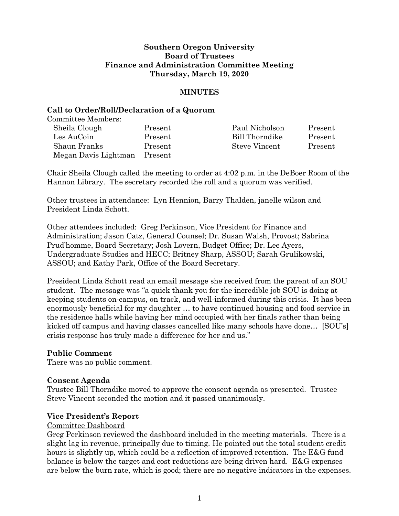### **Southern Oregon University Board of Trustees Finance and Administration Committee Meeting Thursday, March 19, 2020**

### **MINUTES**

### **Call to Order/Roll/Declaration of a Quorum**

Committee Members:

| Sheila Clough        | Present | Paul Nicholson       | Present |
|----------------------|---------|----------------------|---------|
| Les AuCoin           | Present | Bill Thorndike       | Present |
| Shaun Franks         | Present | <b>Steve Vincent</b> | Present |
| Megan Davis Lightman | Present |                      |         |

Chair Sheila Clough called the meeting to order at 4:02 p.m. in the DeBoer Room of the Hannon Library. The secretary recorded the roll and a quorum was verified.

Other trustees in attendance: Lyn Hennion, Barry Thalden, janelle wilson and President Linda Schott.

Other attendees included: Greg Perkinson, Vice President for Finance and Administration; Jason Catz, General Counsel; Dr. Susan Walsh, Provost; Sabrina Prud'homme, Board Secretary; Josh Lovern, Budget Office; Dr. Lee Ayers, Undergraduate Studies and HECC; Britney Sharp, ASSOU; Sarah Grulikowski, ASSOU; and Kathy Park, Office of the Board Secretary.

President Linda Schott read an email message she received from the parent of an SOU student. The message was "a quick thank you for the incredible job SOU is doing at keeping students on-campus, on track, and well-informed during this crisis. It has been enormously beneficial for my daughter … to have continued housing and food service in the residence halls while having her mind occupied with her finals rather than being kicked off campus and having classes cancelled like many schools have done… [SOU's] crisis response has truly made a difference for her and us."

# **Public Comment**

There was no public comment.

### **Consent Agenda**

Trustee Bill Thorndike moved to approve the consent agenda as presented. Trustee Steve Vincent seconded the motion and it passed unanimously.

### **Vice President's Report**

#### Committee Dashboard

Greg Perkinson reviewed the dashboard included in the meeting materials. There is a slight lag in revenue, principally due to timing. He pointed out the total student credit hours is slightly up, which could be a reflection of improved retention. The E&G fund balance is below the target and cost reductions are being driven hard. E&G expenses are below the burn rate, which is good; there are no negative indicators in the expenses.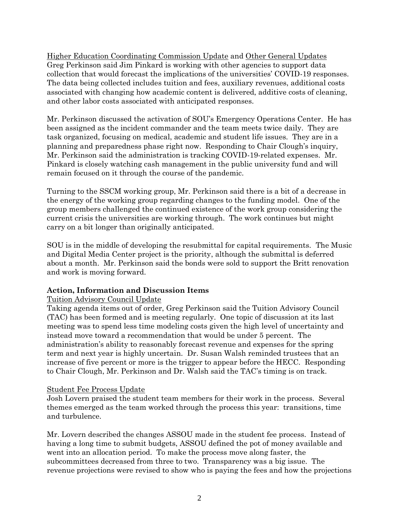Higher Education Coordinating Commission Update and Other General Updates Greg Perkinson said Jim Pinkard is working with other agencies to support data collection that would forecast the implications of the universities' COVID-19 responses. The data being collected includes tuition and fees, auxiliary revenues, additional costs associated with changing how academic content is delivered, additive costs of cleaning, and other labor costs associated with anticipated responses.

Mr. Perkinson discussed the activation of SOU's Emergency Operations Center. He has been assigned as the incident commander and the team meets twice daily. They are task organized, focusing on medical, academic and student life issues. They are in a planning and preparedness phase right now. Responding to Chair Clough's inquiry, Mr. Perkinson said the administration is tracking COVID-19-related expenses. Mr. Pinkard is closely watching cash management in the public university fund and will remain focused on it through the course of the pandemic.

Turning to the SSCM working group, Mr. Perkinson said there is a bit of a decrease in the energy of the working group regarding changes to the funding model. One of the group members challenged the continued existence of the work group considering the current crisis the universities are working through. The work continues but might carry on a bit longer than originally anticipated.

SOU is in the middle of developing the resubmittal for capital requirements. The Music and Digital Media Center project is the priority, although the submittal is deferred about a month. Mr. Perkinson said the bonds were sold to support the Britt renovation and work is moving forward.

# **Action, Information and Discussion Items**

# Tuition Advisory Council Update

Taking agenda items out of order, Greg Perkinson said the Tuition Advisory Council (TAC) has been formed and is meeting regularly. One topic of discussion at its last meeting was to spend less time modeling costs given the high level of uncertainty and instead move toward a recommendation that would be under 5 percent. The administration's ability to reasonably forecast revenue and expenses for the spring term and next year is highly uncertain. Dr. Susan Walsh reminded trustees that an increase of five percent or more is the trigger to appear before the HECC. Responding to Chair Clough, Mr. Perkinson and Dr. Walsh said the TAC's timing is on track.

### Student Fee Process Update

Josh Lovern praised the student team members for their work in the process. Several themes emerged as the team worked through the process this year: transitions, time and turbulence.

Mr. Lovern described the changes ASSOU made in the student fee process. Instead of having a long time to submit budgets, ASSOU defined the pot of money available and went into an allocation period. To make the process move along faster, the subcommittees decreased from three to two. Transparency was a big issue. The revenue projections were revised to show who is paying the fees and how the projections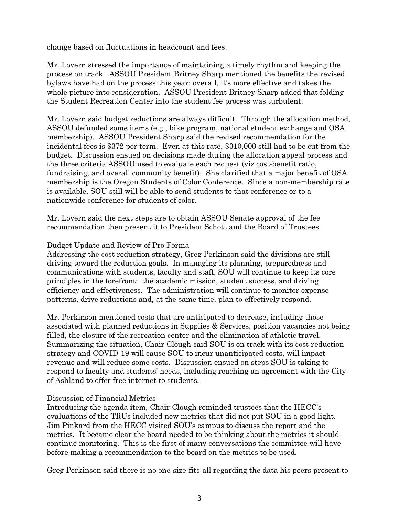change based on fluctuations in headcount and fees.

Mr. Lovern stressed the importance of maintaining a timely rhythm and keeping the process on track. ASSOU President Britney Sharp mentioned the benefits the revised bylaws have had on the process this year: overall, it's more effective and takes the whole picture into consideration. ASSOU President Britney Sharp added that folding the Student Recreation Center into the student fee process was turbulent.

Mr. Lovern said budget reductions are always difficult. Through the allocation method, ASSOU defunded some items (e.g., bike program, national student exchange and OSA membership). ASSOU President Sharp said the revised recommendation for the incidental fees is \$372 per term. Even at this rate, \$310,000 still had to be cut from the budget. Discussion ensued on decisions made during the allocation appeal process and the three criteria ASSOU used to evaluate each request (viz cost-benefit ratio, fundraising, and overall community benefit). She clarified that a major benefit of OSA membership is the Oregon Students of Color Conference. Since a non-membership rate is available, SOU still will be able to send students to that conference or to a nationwide conference for students of color.

Mr. Lovern said the next steps are to obtain ASSOU Senate approval of the fee recommendation then present it to President Schott and the Board of Trustees.

# Budget Update and Review of Pro Forma

Addressing the cost reduction strategy, Greg Perkinson said the divisions are still driving toward the reduction goals. In managing its planning, preparedness and communications with students, faculty and staff, SOU will continue to keep its core principles in the forefront: the academic mission, student success, and driving efficiency and effectiveness. The administration will continue to monitor expense patterns, drive reductions and, at the same time, plan to effectively respond.

Mr. Perkinson mentioned costs that are anticipated to decrease, including those associated with planned reductions in Supplies & Services, position vacancies not being filled, the closure of the recreation center and the elimination of athletic travel. Summarizing the situation, Chair Clough said SOU is on track with its cost reduction strategy and COVID-19 will cause SOU to incur unanticipated costs, will impact revenue and will reduce some costs. Discussion ensued on steps SOU is taking to respond to faculty and students' needs, including reaching an agreement with the City of Ashland to offer free internet to students.

# Discussion of Financial Metrics

Introducing the agenda item, Chair Clough reminded trustees that the HECC's evaluations of the TRUs included new metrics that did not put SOU in a good light. Jim Pinkard from the HECC visited SOU's campus to discuss the report and the metrics. It became clear the board needed to be thinking about the metrics it should continue monitoring. This is the first of many conversations the committee will have before making a recommendation to the board on the metrics to be used.

Greg Perkinson said there is no one-size-fits-all regarding the data his peers present to